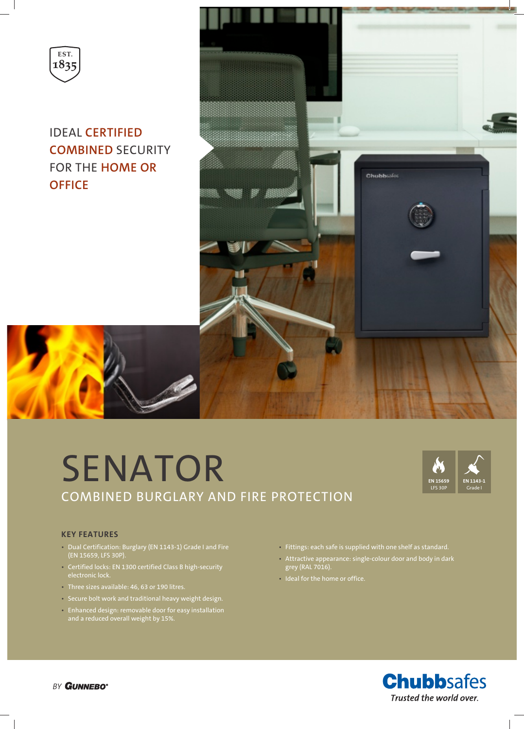

IDEAL **CERTIFIED COMBINED** SECURITY FOR THE **HOME OR OFFICE**



# SENATOR COMBINED BURGLARY AND FIRE PROTECTION



#### **KEY FEATURES**

- Dual Certification: Burglary (EN 1143-1) Grade I and Fire (EN 15659, LFS 30P).
- Certified locks: EN 1300 certified Class B high-security
- Three sizes available: 46, 63 or 190 litres.
- Secure bolt work and traditional heavy weight design.
- Enhanced design: removable door for easy installation and a reduced overall weight by 15%.
- Fittings: each safe is supplied with one shelf as standard.
- Attractive appearance: single-colour door and body in dark grey (RAL 7016).
- Ideal for the home or office.